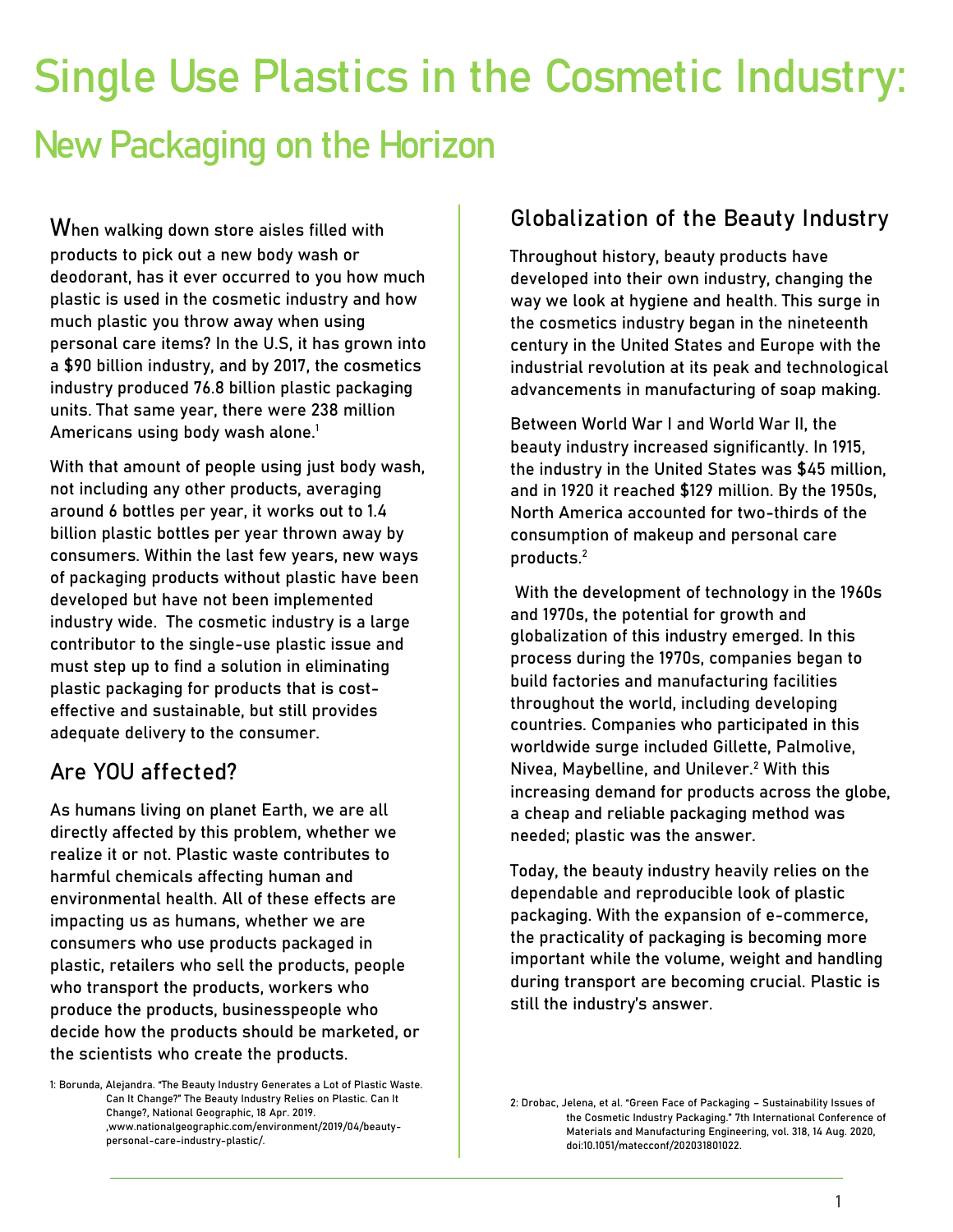# **Single Use Plastics in the Cosmetic Industry:** New Packaging on the Horizon

When walking down store aisles filled with products to pick out a new body wash or deodorant, has it ever occurred to you how much plastic is used in the cosmetic industry and how much plastic you throw away when using personal care items? In the U.S, it has grown into a \$90 billion industry, and by 2017, the cosmetics industry produced 76.8 billion plastic packaging units. That same year, there were 238 million Americans using body wash alone.<sup>1</sup>

With that amount of people using just body wash, not including any other products, averaging around 6 bottles per year, it works out to 1.4 billion plastic bottles per year thrown away by consumers. Within the last few years, new ways of packaging products without plastic have been developed but have not been implemented industry wide. The cosmetic industry is a large contributor to the single-use plastic issue and must step up to find a solution in eliminating plastic packaging for products that is costeffective and sustainable, but still provides adequate delivery to the consumer.

# **Are YOU affected?**

As humans living on planet Earth, we are all directly affected by this problem, whether we realize it or not. Plastic waste contributes to harmful chemicals affecting human and environmental health. All of these effects are impacting us as humans, whether we are consumers who use products packaged in plastic, retailers who sell the products, people who transport the products, workers who produce the products, businesspeople who decide how the products should be marketed, or the scientists who create the products.

1: Borunda, Alejandra. "The Beauty Industry Generates a Lot of Plastic Waste. Can It Change?" The Beauty Industry Relies on Plastic. Can It Change?, National Geographic, 18 Apr. 2019. ,www.nationalgeographic.com/environment/2019/04/beautypersonal-care-industry-plastic/.

## **Globalization of the Beauty Industry**

Throughout history, beauty products have developed into their own industry, changing the way we look at hygiene and health. This surge in the cosmetics industry began in the nineteenth century in the United States and Europe with the industrial revolution at its peak and technological advancements in manufacturing of soap making.

Between World War I and World War II, the beauty industry increased significantly. In 1915, the industry in the United States was \$45 million, and in 1920 it reached \$129 million. By the 1950s, North America accounted for two-thirds of the consumption of makeup and personal care products.<sup>2</sup>

With the development of technology in the 1960s and 1970s, the potential for growth and globalization of this industry emerged. In this process during the 1970s, companies began to build factories and manufacturing facilities throughout the world, including developing countries. Companies who participated in this worldwide surge included Gillette, Palmolive, Nivea, Maybelline, and Unilever.<sup>2</sup> With this increasing demand for products across the globe, a cheap and reliable packaging method was needed; plastic was the answer.

Today, the beauty industry heavily relies on the dependable and reproducible look of plastic packaging. With the expansion of e-commerce, the practicality of packaging is becoming more important while the volume, weight and handling during transport are becoming crucial. Plastic is still the industry's answer.

<sup>2:</sup> Drobac, Jelena, et al. "Green Face of Packaging – Sustainability Issues of the Cosmetic Industry Packaging." 7th International Conference of Materials and Manufacturing Engineering, vol. 318, 14 Aug. 2020, doi:10.1051/matecconf/202031801022.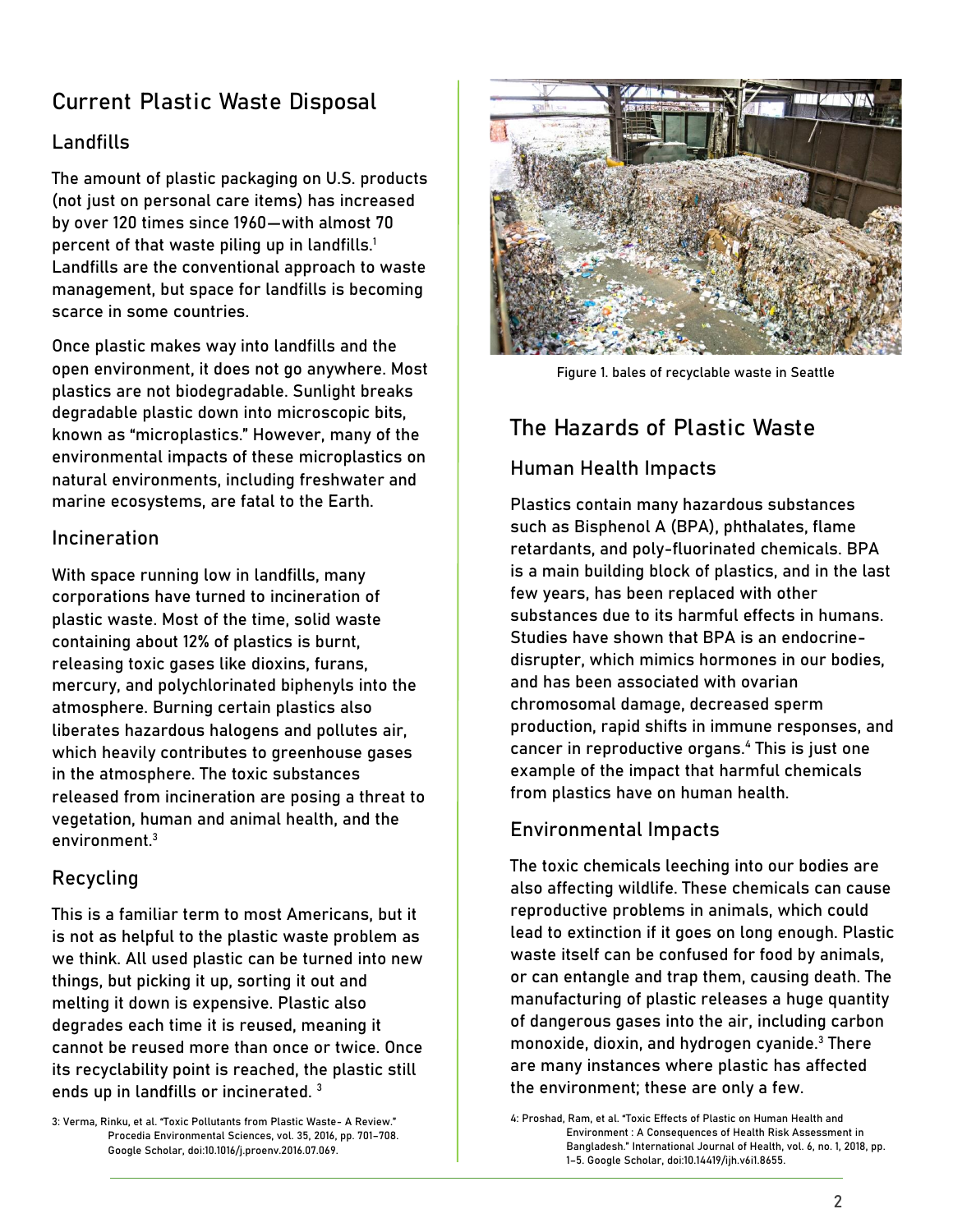# **Current Plastic Waste Disposal**

## Landfills

The amount of plastic packaging on U.S. products (not just on personal care items) has increased by over 120 times since 1960—with almost 70 percent of that waste piling up in landfills.<sup>1</sup> Landfills are the conventional approach to waste management, but space for landfills is becoming scarce in some countries.

Once plastic makes way into landfills and the open environment, it does not go anywhere. Most plastics are not biodegradable. Sunlight breaks degradable plastic down into microscopic bits, known as "microplastics." However, many of the environmental impacts of these microplastics on natural environments, including freshwater and marine ecosystems, are fatal to the Earth.

### Incineration

With space running low in landfills, many corporations have turned to incineration of plastic waste. Most of the time, solid waste containing about 12% of plastics is burnt, releasing toxic gases like dioxins, furans, mercury, and polychlorinated biphenyls into the atmosphere. Burning certain plastics also liberates hazardous halogens and pollutes air, which heavily contributes to greenhouse gases in the atmosphere. The toxic substances released from incineration are posing a threat to vegetation, human and animal health, and the environment. 3

## Recycling

This is a familiar term to most Americans, but it is not as helpful to the plastic waste problem as we think. All used plastic can be turned into new things, but picking it up, sorting it out and melting it down is expensive. Plastic also degrades each time it is reused, meaning it cannot be reused more than once or twice. Once its recyclability point is reached, the plastic still ends up in landfills or incinerated.<sup>3</sup>

3: Verma, Rinku, et al. "Toxic Pollutants from Plastic Waste- A Review." Procedia Environmental Sciences, vol. 35, 2016, pp. 701–708. Google Scholar, doi:10.1016/j.proenv.2016.07.069.



Figure 1. bales of recyclable waste in Seattle

# **The Hazards of Plastic Waste**

## Human Health Impacts

Plastics contain many hazardous substances such as Bisphenol A (BPA), phthalates, flame retardants, and poly-fluorinated chemicals. BPA is a main building block of plastics, and in the last few years, has been replaced with other substances due to its harmful effects in humans. Studies have shown that BPA is an endocrinedisrupter, which mimics hormones in our bodies, and has been associated with ovarian chromosomal damage, decreased sperm production, rapid shifts in immune responses, and cancer in reproductive organs. <sup>4</sup> This is just one example of the impact that harmful chemicals from plastics have on human health.

## Environmental Impacts

The toxic chemicals leeching into our bodies are also affecting wildlife. These chemicals can cause reproductive problems in animals, which could lead to extinction if it goes on long enough. Plastic waste itself can be confused for food by animals, or can entangle and trap them, causing death. The manufacturing of plastic releases a huge quantity of dangerous gases into the air, including carbon monoxide, dioxin, and hydrogen cyanide.<sup>3</sup> There are many instances where plastic has affected the environment; these are only a few.

4: Proshad, Ram, et al. "Toxic Effects of Plastic on Human Health and Environment : A Consequences of Health Risk Assessment in Bangladesh." International Journal of Health, vol. 6, no. 1, 2018, pp. 1–5. Google Scholar, doi:10.14419/ijh.v6i1.8655.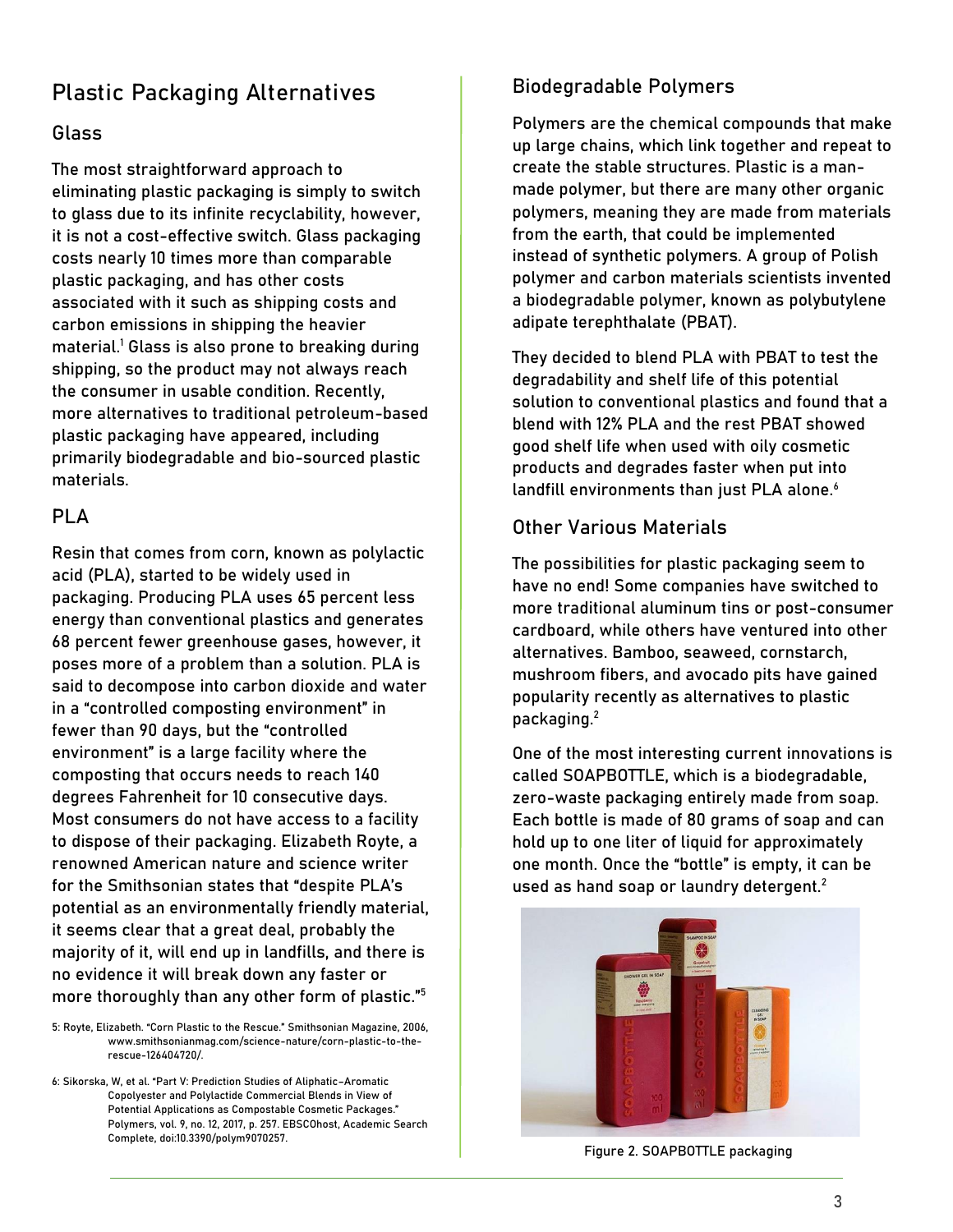# **Plastic Packaging Alternatives**

#### Glass

The most straightforward approach to eliminating plastic packaging is simply to switch to glass due to its infinite recyclability, however, it is not a cost-effective switch. Glass packaging costs nearly 10 times more than comparable plastic packaging, and has other costs associated with it such as shipping costs and carbon emissions in shipping the heavier material.<sup>1</sup> Glass is also prone to breaking during shipping, so the product may not always reach the consumer in usable condition. Recently, more alternatives to traditional petroleum-based plastic packaging have appeared, including primarily biodegradable and bio-sourced plastic materials.

#### PLA

Resin that comes from corn, known as polylactic acid (PLA), started to be widely used in packaging. Producing PLA uses 65 percent less energy than conventional plastics and generates 68 percent fewer greenhouse gases, however, it poses more of a problem than a solution. PLA is said to decompose into carbon dioxide and water in a "controlled composting environment" in fewer than 90 days, but the "controlled environment" is a large facility where the composting that occurs needs to reach 140 degrees Fahrenheit for 10 consecutive days. Most consumers do not have access to a facility to dispose of their packaging. Elizabeth Royte, a renowned American nature and science writer for the Smithsonian states that "despite PLA's potential as an environmentally friendly material, it seems clear that a great deal, probably the majority of it, will end up in landfills, and there is no evidence it will break down any faster or more thoroughly than any other form of plastic."<sup>5</sup>

5: Royte, Elizabeth. "Corn Plastic to the Rescue." Smithsonian Magazine, 2006, [www.smithsonianmag.com/science-nature/corn-plastic-to-the](http://www.smithsonianmag.com/science-nature/corn-plastic-to-the-rescue-126404720/)[rescue-126404720/.](http://www.smithsonianmag.com/science-nature/corn-plastic-to-the-rescue-126404720/)

6: Sikorska, W, et al. "Part V: Prediction Studies of Aliphatic–Aromatic Copolyester and Polylactide Commercial Blends in View of Potential Applications as Compostable Cosmetic Packages." Polymers, vol. 9, no. 12, 2017, p. 257. EBSCOhost, Academic Search Complete, doi:10.3390/polym9070257.

#### Biodegradable Polymers

Polymers are the chemical compounds that make up large chains, which link together and repeat to create the stable structures. Plastic is a manmade polymer, but there are many other organic polymers, meaning they are made from materials from the earth, that could be implemented instead of synthetic polymers. A group of Polish polymer and carbon materials scientists invented a biodegradable polymer, known as polybutylene adipate terephthalate (PBAT).

They decided to blend PLA with PBAT to test the degradability and shelf life of this potential solution to conventional plastics and found that a blend with 12% PLA and the rest PBAT showed good shelf life when used with oily cosmetic products and degrades faster when put into landfill environments than just PLA alone.<sup>6</sup>

#### Other Various Materials

The possibilities for plastic packaging seem to have no end! Some companies have switched to more traditional aluminum tins or post-consumer cardboard, while others have ventured into other alternatives. Bamboo, seaweed, cornstarch, mushroom fibers, and avocado pits have gained popularity recently as alternatives to plastic packaging.<sup>2</sup>

One of the most interesting current innovations is called SOAPBOTTLE, which is a biodegradable, zero-waste packaging entirely made from soap. Each bottle is made of 80 grams of soap and can hold up to one liter of liquid for approximately one month. Once the "bottle" is empty, it can be used as hand soap or laundry detergent.<sup>2</sup>



Figure 2. SOAPBOTTLE packaging